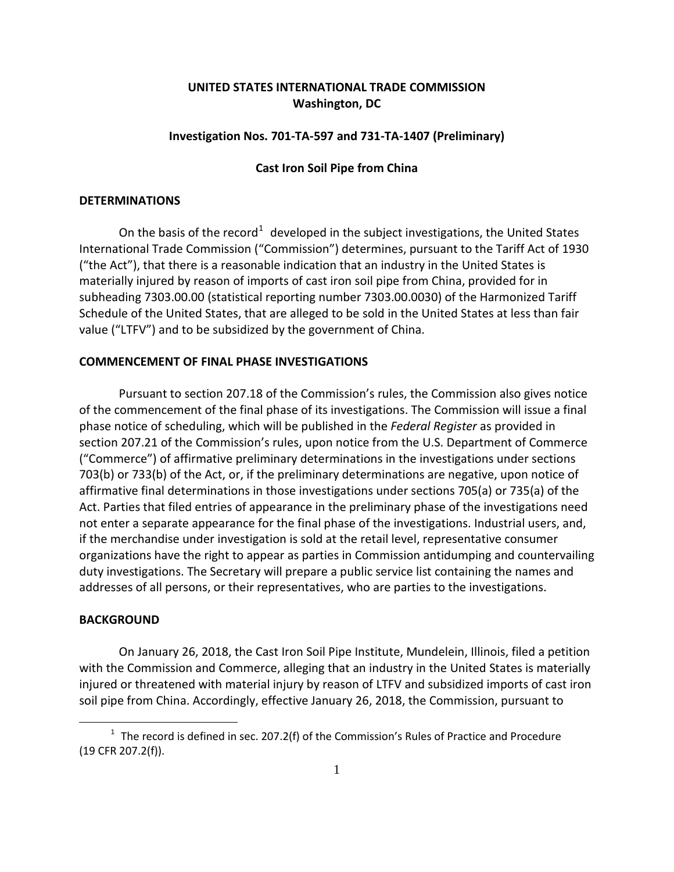# **UNITED STATES INTERNATIONAL TRADE COMMISSION Washington, DC**

## **Investigation Nos. 701-TA-597 and 731-TA-1407 (Preliminary)**

## **Cast Iron Soil Pipe from China**

#### **DETERMINATIONS**

On the basis of the record<sup>[1](#page-0-0)</sup> developed in the subject investigations, the United States International Trade Commission ("Commission") determines, pursuant to the Tariff Act of 1930 ("the Act"), that there is a reasonable indication that an industry in the United States is materially injured by reason of imports of cast iron soil pipe from China, provided for in subheading 7303.00.00 (statistical reporting number 7303.00.0030) of the Harmonized Tariff Schedule of the United States, that are alleged to be sold in the United States at less than fair value ("LTFV") and to be subsidized by the government of China.

#### **COMMENCEMENT OF FINAL PHASE INVESTIGATIONS**

Pursuant to section 207.18 of the Commission's rules, the Commission also gives notice of the commencement of the final phase of its investigations. The Commission will issue a final phase notice of scheduling, which will be published in the *Federal Register* as provided in section 207.21 of the Commission's rules, upon notice from the U.S. Department of Commerce ("Commerce") of affirmative preliminary determinations in the investigations under sections 703(b) or 733(b) of the Act, or, if the preliminary determinations are negative, upon notice of affirmative final determinations in those investigations under sections 705(a) or 735(a) of the Act. Parties that filed entries of appearance in the preliminary phase of the investigations need not enter a separate appearance for the final phase of the investigations. Industrial users, and, if the merchandise under investigation is sold at the retail level, representative consumer organizations have the right to appear as parties in Commission antidumping and countervailing duty investigations. The Secretary will prepare a public service list containing the names and addresses of all persons, or their representatives, who are parties to the investigations.

# **BACKGROUND**

 $\overline{a}$ 

On January 26, 2018, the Cast Iron Soil Pipe Institute, Mundelein, Illinois, filed a petition with the Commission and Commerce, alleging that an industry in the United States is materially injured or threatened with material injury by reason of LTFV and subsidized imports of cast iron soil pipe from China. Accordingly, effective January 26, 2018, the Commission, pursuant to

<span id="page-0-0"></span> $1$  The record is defined in sec. 207.2(f) of the Commission's Rules of Practice and Procedure (19 CFR 207.2(f)).